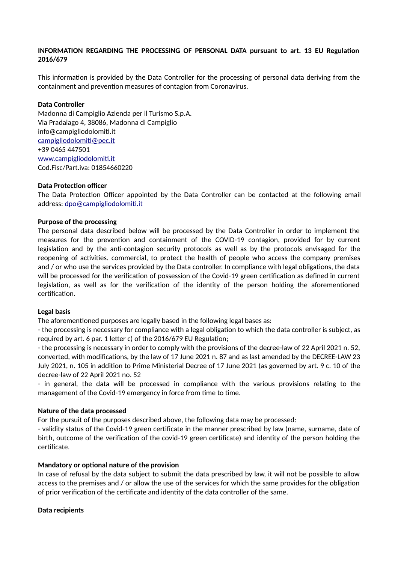# **INFORMATION REGARDING THE PROCESSING OF PERSONAL DATA pursuant to art. 13 EU Regulation 2016/679**

This information is provided by the Data Controller for the processing of personal data deriving from the containment and prevention measures of contagion from Coronavirus.

## **Data Controller**

Madonna di Campiglio Azienda per il Turismo S.p.A. Via Pradalago 4, 38086, Madonna di Campiglio info@campigliodolomiti.it [campigliodolomiti@pec.it](mailto:campigliodolomiti@pec.it) +39 0465 447501 [www.campigliodolomiti.it](http://www.campigliodolomiti.it/) Cod.Fisc/Part.iva: 01854660220

#### **Data Protection officer**

The Data Protection Officer appointed by the Data Controller can be contacted at the following email address: [dpo@campigliodolomiti.it](mailto:dpo@campigliodolomiti.it)

# **Purpose of the processing**

The personal data described below will be processed by the Data Controller in order to implement the measures for the prevention and containment of the COVID-19 contagion, provided for by current legislation and by the anti-contagion security protocols as well as by the protocols envisaged for the reopening of activities. commercial, to protect the health of people who access the company premises and / or who use the services provided by the Data controller. In compliance with legal obligations, the data will be processed for the verification of possession of the Covid-19 green certification as defined in current legislation, as well as for the verification of the identity of the person holding the aforementioned certification.

#### **Legal basis**

The aforementioned purposes are legally based in the following legal bases as:

- the processing is necessary for compliance with a legal obligation to which the data controller is subject, as required by art. 6 par. 1 letter c) of the 2016/679 EU Regulation;

- the processing is necessary in order to comply with the provisions of the decree-law of 22 April 2021 n. 52, converted, with modifications, by the law of 17 June 2021 n. 87 and as last amended by the DECREE-LAW 23 July 2021, n. 105 in addition to Prime Ministerial Decree of 17 June 2021 (as governed by art. 9 c. 10 of the decree-law of 22 April 2021 no. 52

- in general, the data will be processed in compliance with the various provisions relating to the management of the Covid-19 emergency in force from time to time.

#### **Nature of the data processed**

For the pursuit of the purposes described above, the following data may be processed:

- validity status of the Covid-19 green certificate in the manner prescribed by law (name, surname, date of birth, outcome of the verification of the covid-19 green certificate) and identity of the person holding the certificate.

#### **Mandatory or optional nature of the provision**

In case of refusal by the data subject to submit the data prescribed by law, it will not be possible to allow access to the premises and / or allow the use of the services for which the same provides for the obligation of prior verification of the certificate and identity of the data controller of the same.

#### **Data recipients**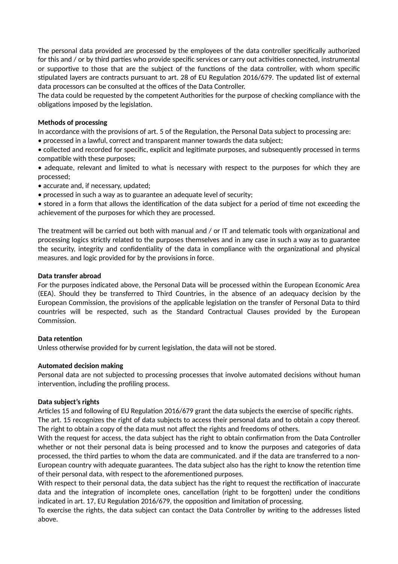The personal data provided are processed by the employees of the data controller specifically authorized for this and / or by third parties who provide specific services or carry out activities connected, instrumental or supportive to those that are the subject of the functions of the data controller, with whom specific stipulated layers are contracts pursuant to art. 28 of EU Regulation 2016/679. The updated list of external data processors can be consulted at the offices of the Data Controller.

The data could be requested by the competent Authorities for the purpose of checking compliance with the obligations imposed by the legislation.

# **Methods of processing**

In accordance with the provisions of art. 5 of the Regulation, the Personal Data subject to processing are:

• processed in a lawful, correct and transparent manner towards the data subject;

• collected and recorded for specific, explicit and legitimate purposes, and subsequently processed in terms compatible with these purposes;

• adequate, relevant and limited to what is necessary with respect to the purposes for which they are processed;

- accurate and, if necessary, updated;
- processed in such a way as to guarantee an adequate level of security;

• stored in a form that allows the identification of the data subject for a period of time not exceeding the achievement of the purposes for which they are processed.

The treatment will be carried out both with manual and / or IT and telematic tools with organizational and processing logics strictly related to the purposes themselves and in any case in such a way as to guarantee the security, integrity and confidentiality of the data in compliance with the organizational and physical measures. and logic provided for by the provisions in force.

# **Data transfer abroad**

For the purposes indicated above, the Personal Data will be processed within the European Economic Area (EEA). Should they be transferred to Third Countries, in the absence of an adequacy decision by the European Commission, the provisions of the applicable legislation on the transfer of Personal Data to third countries will be respected, such as the Standard Contractual Clauses provided by the European Commission.

# **Data retention**

Unless otherwise provided for by current legislation, the data will not be stored.

#### **Automated decision making**

Personal data are not subjected to processing processes that involve automated decisions without human intervention, including the profiling process.

#### **Data subject's rights**

Articles 15 and following of EU Regulation 2016/679 grant the data subjects the exercise of specific rights. The art. 15 recognizes the right of data subjects to access their personal data and to obtain a copy thereof. The right to obtain a copy of the data must not affect the rights and freedoms of others.

With the request for access, the data subject has the right to obtain confirmation from the Data Controller whether or not their personal data is being processed and to know the purposes and categories of data processed, the third parties to whom the data are communicated. and if the data are transferred to a non-European country with adequate guarantees. The data subject also has the right to know the retention time of their personal data, with respect to the aforementioned purposes.

With respect to their personal data, the data subject has the right to request the rectification of inaccurate data and the integration of incomplete ones, cancellation (right to be forgotten) under the conditions indicated in art. 17, EU Regulation 2016/679, the opposition and limitation of processing.

To exercise the rights, the data subject can contact the Data Controller by writing to the addresses listed above.